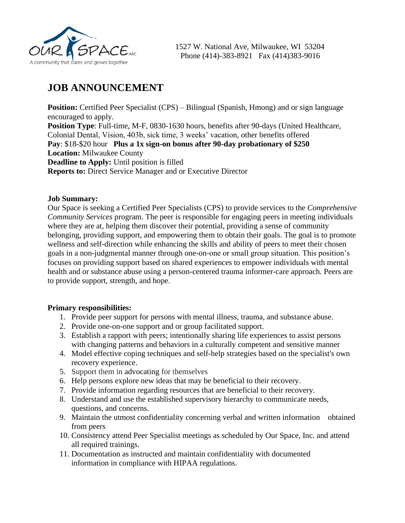

## **JOB ANNOUNCEMENT**

**Position:** Certified Peer Specialist (CPS) – Bilingual (Spanish, Hmong) and or sign language encouraged to apply. **Position Type**: Full-time, M-F, 0830-1630 hours, benefits after 90-days (United Healthcare, Colonial Dental, Vision, 403b, sick time, 3 weeks' vacation, other benefits offered **Pay**: \$18-\$20 hour **Plus a 1x sign-on bonus after 90-day probationary of \$250 Location:** Milwaukee County **Deadline to Apply:** Until position is filled **Reports to:** Direct Service Manager and or Executive Director

## **Job Summary:**

Our Space is seeking a Certified Peer Specialists (CPS) to provide services to the *Comprehensive Community Services* program. The peer is responsible for engaging peers in meeting individuals where they are at, helping them discover their potential, providing a sense of community belonging, providing support, and empowering them to obtain their goals. The goal is to promote wellness and self-direction while enhancing the skills and ability of peers to meet their chosen goals in a non-judgmental manner through one-on-one or small group situation. This position's focuses on providing support based on shared experiences to empower individuals with mental health and or substance abuse using a person-centered trauma informer-care approach. Peers are to provide support, strength, and hope.

## **Primary responsibilities:**

- 1. Provide peer support for persons with mental illness, trauma, and substance abuse.
- 2. Provide one-on-one support and or group facilitated support.
- 3. Establish a rapport with peers; intentionally sharing life experiences to assist persons with changing patterns and behaviors in a culturally competent and sensitive manner
- 4. Model effective [coping techniques](https://en.wikipedia.org/wiki/Coping_skills) and [self-help](https://en.wikipedia.org/wiki/Self-help) strategies based on the specialist's own recovery experience.
- 5. Support them in [advocating](https://en.wikipedia.org/wiki/Self-advocacy) for themselves
- 6. Help persons explore new ideas that may be beneficial to their recovery.
- 7. Provide information regarding resources that are beneficial to their recovery.
- 8. Understand and use the established supervisory hierarchy to communicate needs, questions, and concerns.
- 9. Maintain the utmost confidentiality concerning verbal and written information obtained from peers
- 10. Consistency attend Peer Specialist meetings as scheduled by Our Space, Inc. and attend all required trainings.
- 11. Documentation as instructed and maintain confidentiality with documented information in compliance with HIPAA regulations.